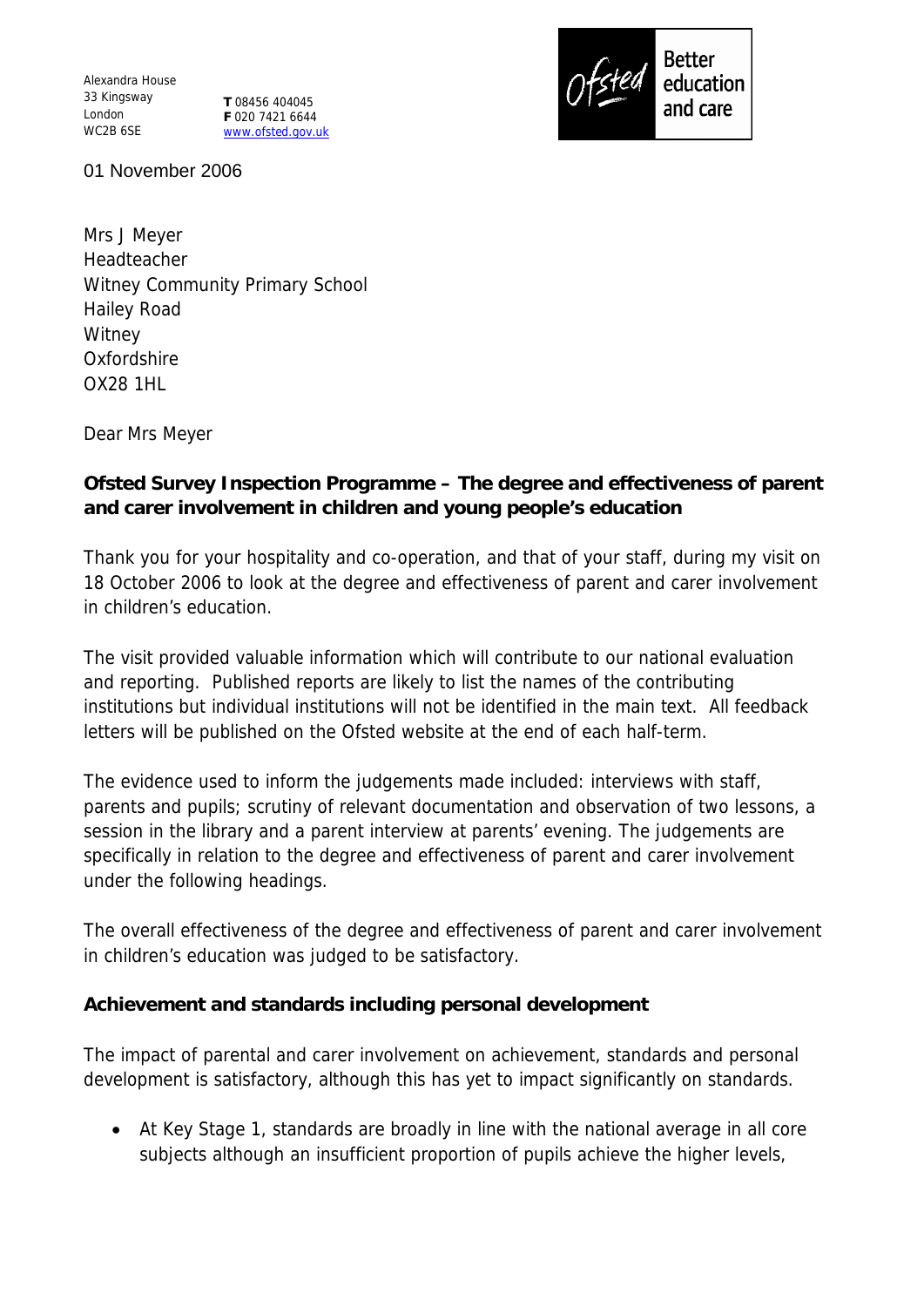Alexandra House 33 Kingsway London WC2B 6SE

**T** 08456 404045 **F** 020 7421 6644 www.ofsted.gov.uk



01 November 2006

Mrs J Meyer Headteacher Witney Community Primary School Hailey Road **Witney Oxfordshire** OX28 1HL

Dear Mrs Meyer

**Ofsted Survey Inspection Programme – The degree and effectiveness of parent and carer involvement in children and young people's education**

Thank you for your hospitality and co-operation, and that of your staff, during my visit on 18 October 2006 to look at the degree and effectiveness of parent and carer involvement in children's education.

The visit provided valuable information which will contribute to our national evaluation and reporting. Published reports are likely to list the names of the contributing institutions but individual institutions will not be identified in the main text. All feedback letters will be published on the Ofsted website at the end of each half-term.

The evidence used to inform the judgements made included: interviews with staff, parents and pupils; scrutiny of relevant documentation and observation of two lessons, a session in the library and a parent interview at parents' evening. The judgements are specifically in relation to the degree and effectiveness of parent and carer involvement under the following headings.

The overall effectiveness of the degree and effectiveness of parent and carer involvement in children's education was judged to be satisfactory.

**Achievement and standards including personal development**

The impact of parental and carer involvement on achievement, standards and personal development is satisfactory, although this has yet to impact significantly on standards.

 At Key Stage 1, standards are broadly in line with the national average in all core subjects although an insufficient proportion of pupils achieve the higher levels,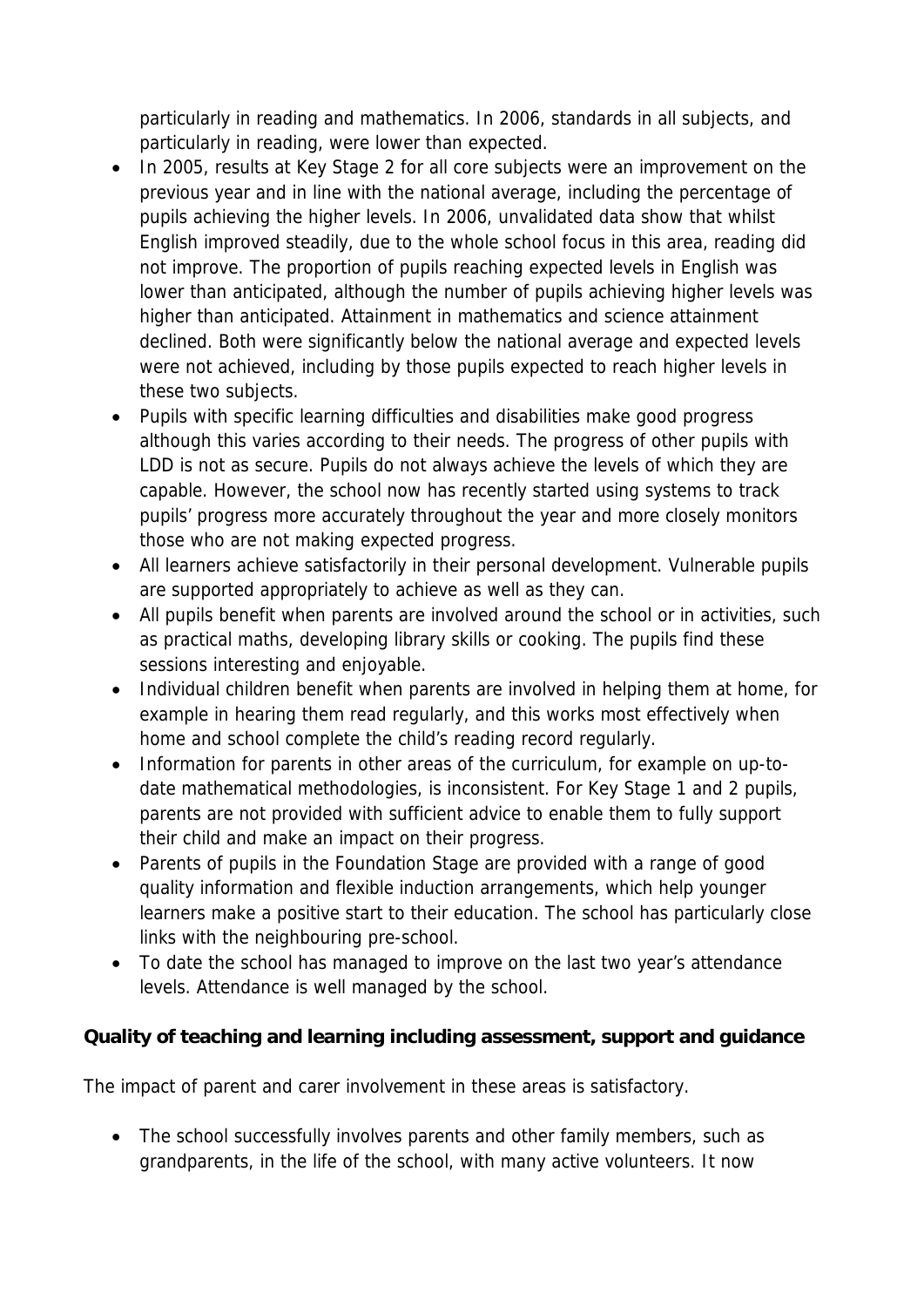particularly in reading and mathematics. In 2006, standards in all subjects, and particularly in reading, were lower than expected.

- In 2005, results at Key Stage 2 for all core subjects were an improvement on the previous year and in line with the national average, including the percentage of pupils achieving the higher levels. In 2006, unvalidated data show that whilst English improved steadily, due to the whole school focus in this area, reading did not improve. The proportion of pupils reaching expected levels in English was lower than anticipated, although the number of pupils achieving higher levels was higher than anticipated. Attainment in mathematics and science attainment declined. Both were significantly below the national average and expected levels were not achieved, including by those pupils expected to reach higher levels in these two subjects.
- Pupils with specific learning difficulties and disabilities make good progress although this varies according to their needs. The progress of other pupils with LDD is not as secure. Pupils do not always achieve the levels of which they are capable. However, the school now has recently started using systems to track pupils' progress more accurately throughout the year and more closely monitors those who are not making expected progress.
- All learners achieve satisfactorily in their personal development. Vulnerable pupils are supported appropriately to achieve as well as they can.
- All pupils benefit when parents are involved around the school or in activities, such as practical maths, developing library skills or cooking. The pupils find these sessions interesting and enjoyable.
- Individual children benefit when parents are involved in helping them at home, for example in hearing them read regularly, and this works most effectively when home and school complete the child's reading record regularly.
- Information for parents in other areas of the curriculum, for example on up-todate mathematical methodologies, is inconsistent. For Key Stage 1 and 2 pupils, parents are not provided with sufficient advice to enable them to fully support their child and make an impact on their progress.
- Parents of pupils in the Foundation Stage are provided with a range of good quality information and flexible induction arrangements, which help younger learners make a positive start to their education. The school has particularly close links with the neighbouring pre-school.
- To date the school has managed to improve on the last two year's attendance levels. Attendance is well managed by the school.

**Quality of teaching and learning including assessment, support and guidance**

The impact of parent and carer involvement in these areas is satisfactory.

• The school successfully involves parents and other family members, such as grandparents, in the life of the school, with many active volunteers. It now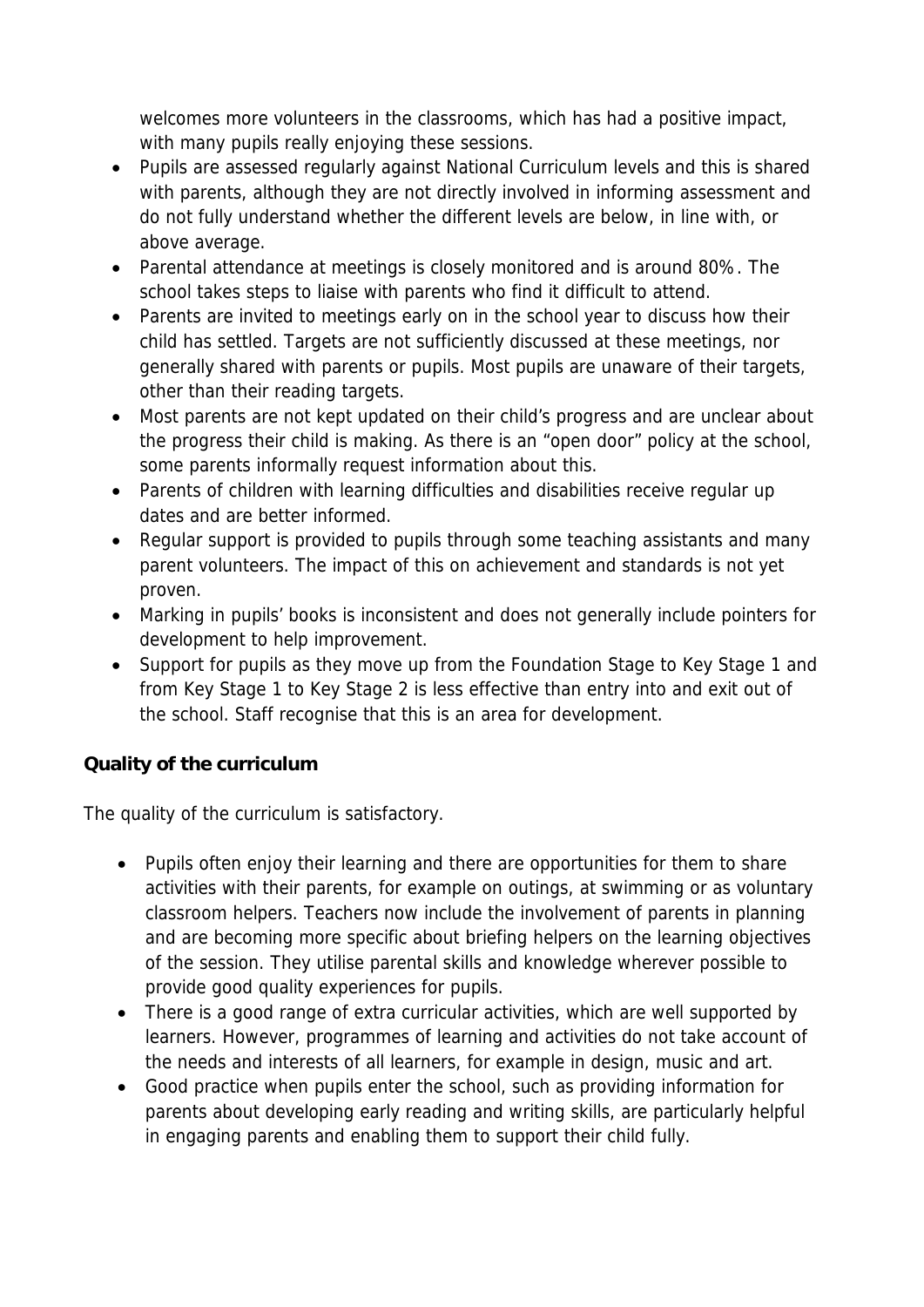welcomes more volunteers in the classrooms, which has had a positive impact, with many pupils really enjoying these sessions.

- Pupils are assessed regularly against National Curriculum levels and this is shared with parents, although they are not directly involved in informing assessment and do not fully understand whether the different levels are below, in line with, or above average.
- Parental attendance at meetings is closely monitored and is around 80%. The school takes steps to liaise with parents who find it difficult to attend.
- Parents are invited to meetings early on in the school year to discuss how their child has settled. Targets are not sufficiently discussed at these meetings, nor generally shared with parents or pupils. Most pupils are unaware of their targets, other than their reading targets.
- Most parents are not kept updated on their child's progress and are unclear about the progress their child is making. As there is an "open door" policy at the school, some parents informally request information about this.
- Parents of children with learning difficulties and disabilities receive regular up dates and are better informed.
- Regular support is provided to pupils through some teaching assistants and many parent volunteers. The impact of this on achievement and standards is not yet proven.
- Marking in pupils' books is inconsistent and does not generally include pointers for development to help improvement.
- Support for pupils as they move up from the Foundation Stage to Key Stage 1 and from Key Stage 1 to Key Stage 2 is less effective than entry into and exit out of the school. Staff recognise that this is an area for development.

**Quality of the curriculum**

The quality of the curriculum is satisfactory.

- Pupils often enjoy their learning and there are opportunities for them to share activities with their parents, for example on outings, at swimming or as voluntary classroom helpers. Teachers now include the involvement of parents in planning and are becoming more specific about briefing helpers on the learning objectives of the session. They utilise parental skills and knowledge wherever possible to provide good quality experiences for pupils.
- There is a good range of extra curricular activities, which are well supported by learners. However, programmes of learning and activities do not take account of the needs and interests of all learners, for example in design, music and art.
- Good practice when pupils enter the school, such as providing information for parents about developing early reading and writing skills, are particularly helpful in engaging parents and enabling them to support their child fully.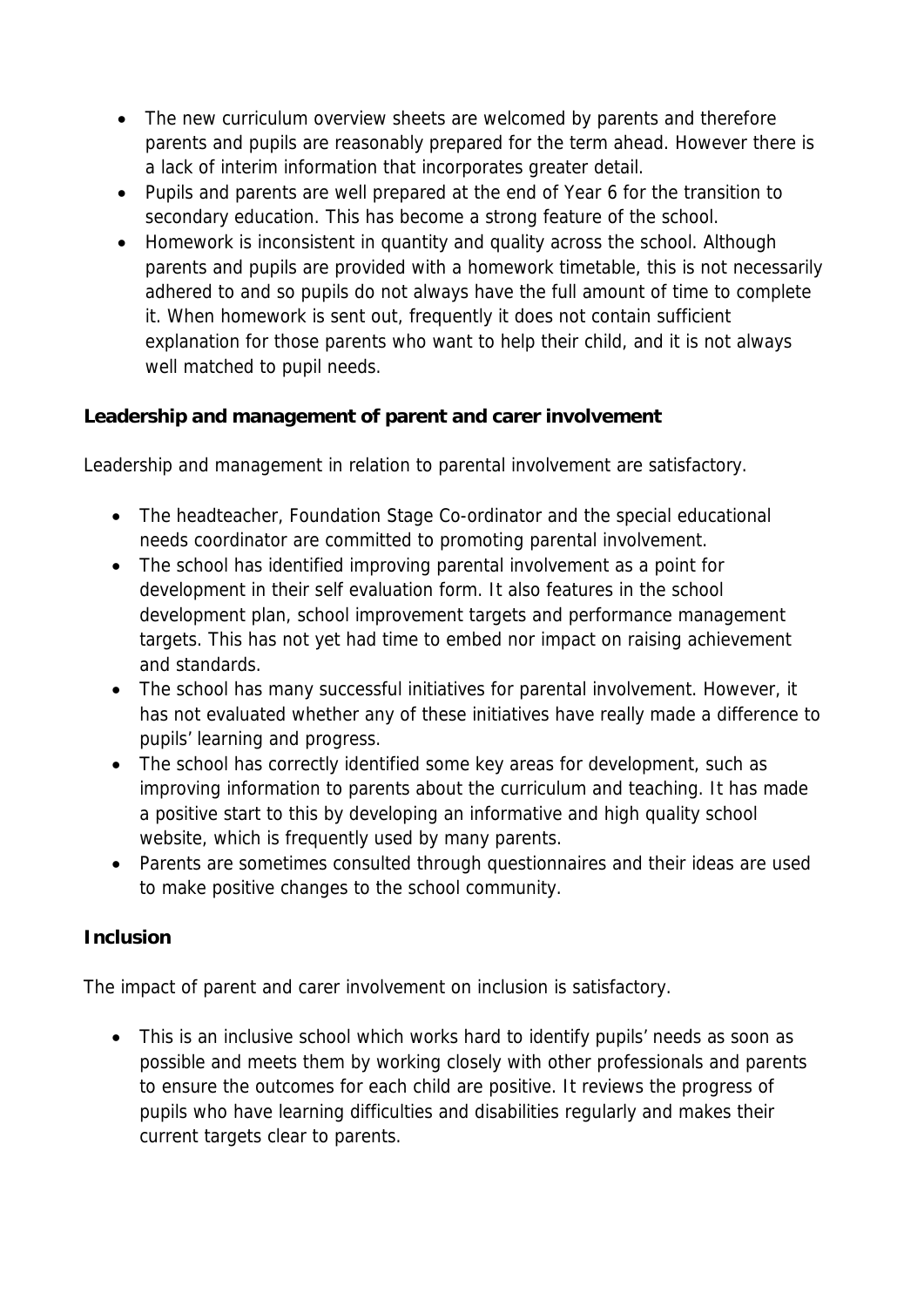- The new curriculum overview sheets are welcomed by parents and therefore parents and pupils are reasonably prepared for the term ahead. However there is a lack of interim information that incorporates greater detail.
- Pupils and parents are well prepared at the end of Year 6 for the transition to secondary education. This has become a strong feature of the school.
- Homework is inconsistent in quantity and quality across the school. Although parents and pupils are provided with a homework timetable, this is not necessarily adhered to and so pupils do not always have the full amount of time to complete it. When homework is sent out, frequently it does not contain sufficient explanation for those parents who want to help their child, and it is not always well matched to pupil needs.

**Leadership and management of parent and carer involvement**

Leadership and management in relation to parental involvement are satisfactory.

- The headteacher, Foundation Stage Co-ordinator and the special educational needs coordinator are committed to promoting parental involvement.
- The school has identified improving parental involvement as a point for development in their self evaluation form. It also features in the school development plan, school improvement targets and performance management targets. This has not yet had time to embed nor impact on raising achievement and standards.
- The school has many successful initiatives for parental involvement. However, it has not evaluated whether any of these initiatives have really made a difference to pupils' learning and progress.
- The school has correctly identified some key areas for development, such as improving information to parents about the curriculum and teaching. It has made a positive start to this by developing an informative and high quality school website, which is frequently used by many parents.
- Parents are sometimes consulted through questionnaires and their ideas are used to make positive changes to the school community.

## **Inclusion**

The impact of parent and carer involvement on inclusion is satisfactory.

• This is an inclusive school which works hard to identify pupils' needs as soon as possible and meets them by working closely with other professionals and parents to ensure the outcomes for each child are positive. It reviews the progress of pupils who have learning difficulties and disabilities regularly and makes their current targets clear to parents.